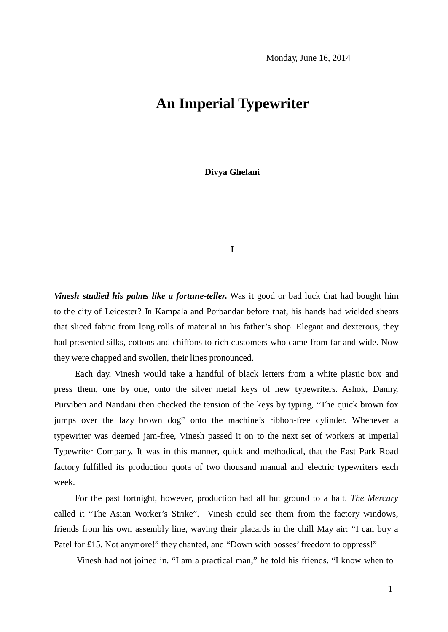## **An Imperial Typewriter**

**Divya Ghelani**

**I**

*Vinesh studied his palms like a fortune-teller.* Was it good or bad luck that had bought him to the city of Leicester? In Kampala and Porbandar before that, his hands had wielded shears that sliced fabric from long rolls of material in his father's shop. Elegant and dexterous, they had presented silks, cottons and chiffons to rich customers who came from far and wide. Now they were chapped and swollen, their lines pronounced.

Each day, Vinesh would take a handful of black letters from a white plastic box and press them, one by one, onto the silver metal keys of new typewriters. Ashok, Danny, Purviben and Nandani then checked the tension of the keys by typing, "The quick brown fox jumps over the lazy brown dog" onto the machine's ribbon-free cylinder. Whenever a typewriter was deemed jam-free, Vinesh passed it on to the next set of workers at Imperial Typewriter Company. It was in this manner, quick and methodical, that the East Park Road factory fulfilled its production quota of two thousand manual and electric typewriters each week.

For the past fortnight, however, production had all but ground to a halt. *The Mercury*  called it "The Asian Worker's Strike". Vinesh could see them from the factory windows, friends from his own assembly line, waving their placards in the chill May air: "I can buy a Patel for £15. Not anymore!" they chanted, and "Down with bosses' freedom to oppress!"

Vinesh had not joined in. "I am a practical man," he told his friends. "I know when to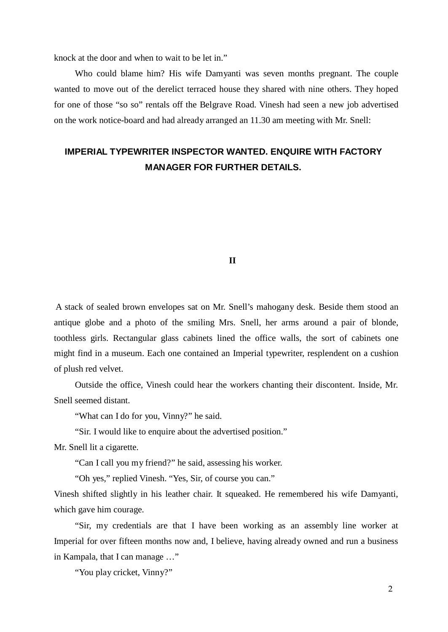knock at the door and when to wait to be let in."

Who could blame him? His wife Damyanti was seven months pregnant. The couple wanted to move out of the derelict terraced house they shared with nine others. They hoped for one of those "so so" rentals off the Belgrave Road. Vinesh had seen a new job advertised on the work notice-board and had already arranged an 11.30 am meeting with Mr. Snell:

### **IMPERIAL TYPEWRITER INSPECTOR WANTED. ENQUIRE WITH FACTORY MANAGER FOR FURTHER DETAILS.**

#### **II**

A stack of sealed brown envelopes sat on Mr. Snell's mahogany desk. Beside them stood an antique globe and a photo of the smiling Mrs. Snell, her arms around a pair of blonde, toothless girls. Rectangular glass cabinets lined the office walls, the sort of cabinets one might find in a museum. Each one contained an Imperial typewriter, resplendent on a cushion of plush red velvet.

Outside the office, Vinesh could hear the workers chanting their discontent. Inside, Mr. Snell seemed distant.

"What can I do for you, Vinny?" he said.

"Sir. I would like to enquire about the advertised position."

Mr. Snell lit a cigarette.

"Can I call you my friend?" he said, assessing his worker.

"Oh yes," replied Vinesh. "Yes, Sir, of course you can."

Vinesh shifted slightly in his leather chair. It squeaked. He remembered his wife Damyanti, which gave him courage.

"Sir, my credentials are that I have been working as an assembly line worker at Imperial for over fifteen months now and, I believe, having already owned and run a business in Kampala, that I can manage …"

"You play cricket, Vinny?"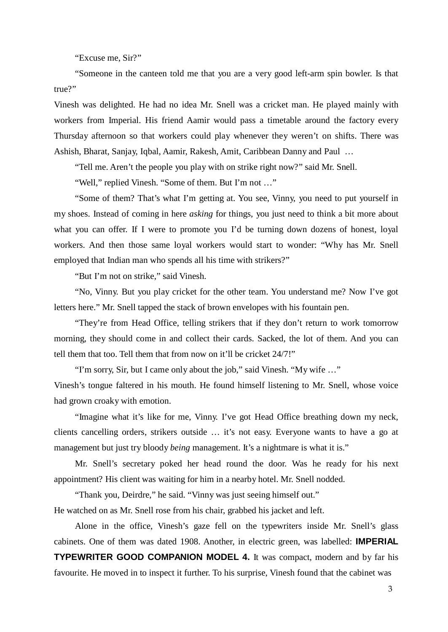"Excuse me, Sir?"

"Someone in the canteen told me that you are a very good left-arm spin bowler. Is that true?"

Vinesh was delighted. He had no idea Mr. Snell was a cricket man. He played mainly with workers from Imperial. His friend Aamir would pass a timetable around the factory every Thursday afternoon so that workers could play whenever they weren't on shifts. There was Ashish, Bharat, Sanjay, Iqbal, Aamir, Rakesh, Amit, Caribbean Danny and Paul …

"Tell me. Aren't the people you play with on strike right now?" said Mr. Snell.

"Well," replied Vinesh. "Some of them. But I'm not …"

"Some of them? That's what I'm getting at. You see, Vinny, you need to put yourself in my shoes. Instead of coming in here *asking* for things, you just need to think a bit more about what you can offer. If I were to promote you I'd be turning down dozens of honest, loyal workers. And then those same loyal workers would start to wonder: "Why has Mr. Snell employed that Indian man who spends all his time with strikers?"

"But I'm not on strike," said Vinesh.

"No, Vinny. But you play cricket for the other team. You understand me? Now I've got letters here." Mr. Snell tapped the stack of brown envelopes with his fountain pen.

"They're from Head Office, telling strikers that if they don't return to work tomorrow morning, they should come in and collect their cards. Sacked, the lot of them. And you can tell them that too. Tell them that from now on it'll be cricket 24/7!"

"I'm sorry, Sir, but I came only about the job," said Vinesh. "My wife …"

Vinesh's tongue faltered in his mouth. He found himself listening to Mr. Snell, whose voice had grown croaky with emotion.

"Imagine what it's like for me, Vinny. I've got Head Office breathing down my neck, clients cancelling orders, strikers outside … it's not easy. Everyone wants to have a go at management but just try bloody *being* management. It's a nightmare is what it is."

Mr. Snell's secretary poked her head round the door. Was he ready for his next appointment? His client was waiting for him in a nearby hotel. Mr. Snell nodded.

"Thank you, Deirdre," he said. "Vinny was just seeing himself out." He watched on as Mr. Snell rose from his chair, grabbed his jacket and left.

Alone in the office, Vinesh's gaze fell on the typewriters inside Mr. Snell's glass cabinets. One of them was dated 1908. Another, in electric green, was labelled: **IMPERIAL TYPEWRITER GOOD COMPANION MODEL 4.** It was compact, modern and by far his favourite. He moved in to inspect it further. To his surprise, Vinesh found that the cabinet was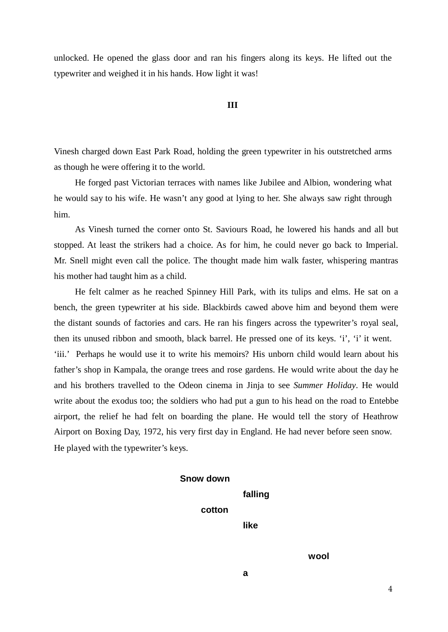unlocked. He opened the glass door and ran his fingers along its keys. He lifted out the typewriter and weighed it in his hands. How light it was!

#### **III**

Vinesh charged down East Park Road, holding the green typewriter in his outstretched arms as though he were offering it to the world.

He forged past Victorian terraces with names like Jubilee and Albion, wondering what he would say to his wife. He wasn't any good at lying to her. She always saw right through him.

As Vinesh turned the corner onto St. Saviours Road, he lowered his hands and all but stopped. At least the strikers had a choice. As for him, he could never go back to Imperial. Mr. Snell might even call the police. The thought made him walk faster, whispering mantras his mother had taught him as a child.

He felt calmer as he reached Spinney Hill Park, with its tulips and elms. He sat on a bench, the green typewriter at his side. Blackbirds cawed above him and beyond them were the distant sounds of factories and cars. He ran his fingers across the typewriter's royal seal, then its unused ribbon and smooth, black barrel. He pressed one of its keys. 'i', 'i' it went. 'iii.' Perhaps he would use it to write his memoirs? His unborn child would learn about his father's shop in Kampala, the orange trees and rose gardens. He would write about the day he and his brothers travelled to the Odeon cinema in Jinja to see *Summer Holiday*. He would write about the exodus too; the soldiers who had put a gun to his head on the road to Entebbe airport, the relief he had felt on boarding the plane. He would tell the story of Heathrow Airport on Boxing Day, 1972, his very first day in England. He had never before seen snow. He played with the typewriter's keys.

# **Snow down cotton falling**

**like**

**wool**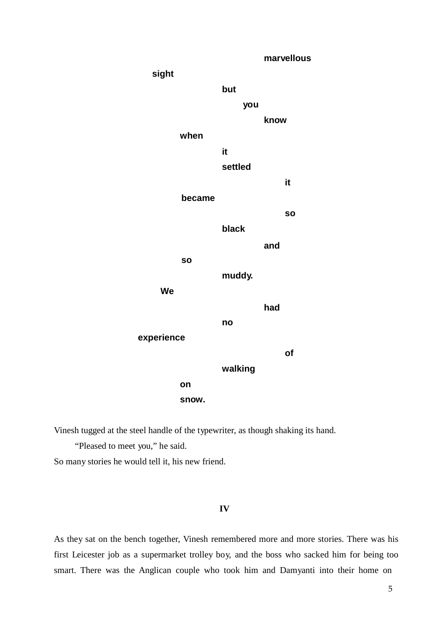

Vinesh tugged at the steel handle of the typewriter, as though shaking its hand.

"Pleased to meet you," he said.

So many stories he would tell it, his new friend.

#### **IV**

As they sat on the bench together, Vinesh remembered more and more stories. There was his first Leicester job as a supermarket trolley boy, and the boss who sacked him for being too smart. There was the Anglican couple who took him and Damyanti into their home on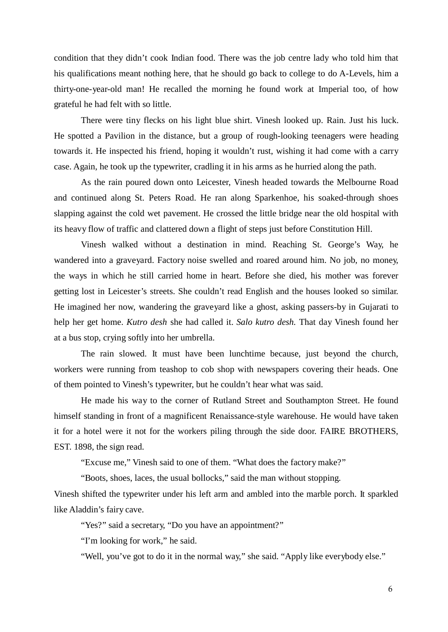condition that they didn't cook Indian food. There was the job centre lady who told him that his qualifications meant nothing here, that he should go back to college to do A-Levels, him a thirty-one-year-old man! He recalled the morning he found work at Imperial too, of how grateful he had felt with so little.

There were tiny flecks on his light blue shirt. Vinesh looked up. Rain. Just his luck. He spotted a Pavilion in the distance, but a group of rough-looking teenagers were heading towards it. He inspected his friend, hoping it wouldn't rust, wishing it had come with a carry case. Again, he took up the typewriter, cradling it in his arms as he hurried along the path.

As the rain poured down onto Leicester, Vinesh headed towards the Melbourne Road and continued along St. Peters Road. He ran along Sparkenhoe, his soaked-through shoes slapping against the cold wet pavement. He crossed the little bridge near the old hospital with its heavy flow of traffic and clattered down a flight of steps just before Constitution Hill.

Vinesh walked without a destination in mind. Reaching St. George's Way, he wandered into a graveyard. Factory noise swelled and roared around him. No job, no money, the ways in which he still carried home in heart. Before she died, his mother was forever getting lost in Leicester's streets. She couldn't read English and the houses looked so similar. He imagined her now, wandering the graveyard like a ghost, asking passers-by in Gujarati to help her get home. *Kutro desh* she had called it. *Salo kutro desh.* That day Vinesh found her at a bus stop, crying softly into her umbrella.

The rain slowed. It must have been lunchtime because, just beyond the church, workers were running from teashop to cob shop with newspapers covering their heads. One of them pointed to Vinesh's typewriter, but he couldn't hear what was said.

He made his way to the corner of Rutland Street and Southampton Street. He found himself standing in front of a magnificent Renaissance-style warehouse. He would have taken it for a hotel were it not for the workers piling through the side door. FAIRE BROTHERS, EST. 1898, the sign read.

"Excuse me," Vinesh said to one of them. "What does the factory make?"

"Boots, shoes, laces, the usual bollocks," said the man without stopping.

Vinesh shifted the typewriter under his left arm and ambled into the marble porch. It sparkled like Aladdin's fairy cave.

"Yes?" said a secretary, "Do you have an appointment?"

"I'm looking for work," he said.

"Well, you've got to do it in the normal way," she said. "Apply like everybody else."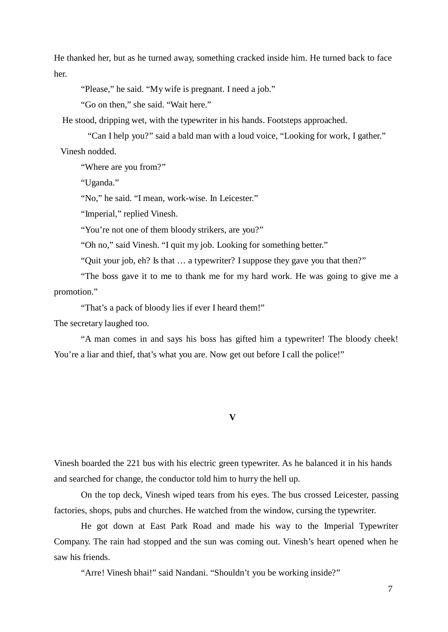He thanked her, but as he turned away, something cracked inside him. He turned back to face her.

"Please," he said. "My wife is pregnant. I need a job."

"Go on then," she said. "Wait here."

He stood, dripping wet, with the typewriter in his hands. Footsteps approached.

"Can I help you?" said a bald man with a loud voice, "Looking for work, I gather." Vinesh nodded.

"Where are you from?"

"Uganda."

"No," he said. "I mean, work-wise. In Leicester."

"Imperial," replied Vinesh.

"You're not one of them bloody strikers, are you?"

"Oh no," said Vinesh. "I quit my job. Looking for something better."

"Quit your job, eh? Is that … a typewriter? Isuppose they gave you that then?"

"The boss gave it to me to thank me for my hard work. He was going to give me a promotion."

"That's a pack of bloody lies if ever I heard them!"

The secretary laughed too.

"A man comes in and says his boss has gifted him a typewriter! The bloody cheek! You're a liar and thief, that's what you are. Now get out before I call the police!"

**V**

Vinesh boarded the 221 bus with his electric green typewriter. As he balanced it in his hands and searched for change, the conductor told him to hurry the hell up.

On the top deck, Vinesh wiped tears from his eyes. The bus crossed Leicester, passing factories, shops, pubs and churches. He watched from the window, cursing the typewriter.

He got down at East Park Road and made his way to the Imperial Typewriter Company. The rain had stopped and the sun was coming out. Vinesh's heart opened when he saw his friends.

"Arre! Vinesh bhai!" said Nandani. "Shouldn't you be working inside?"